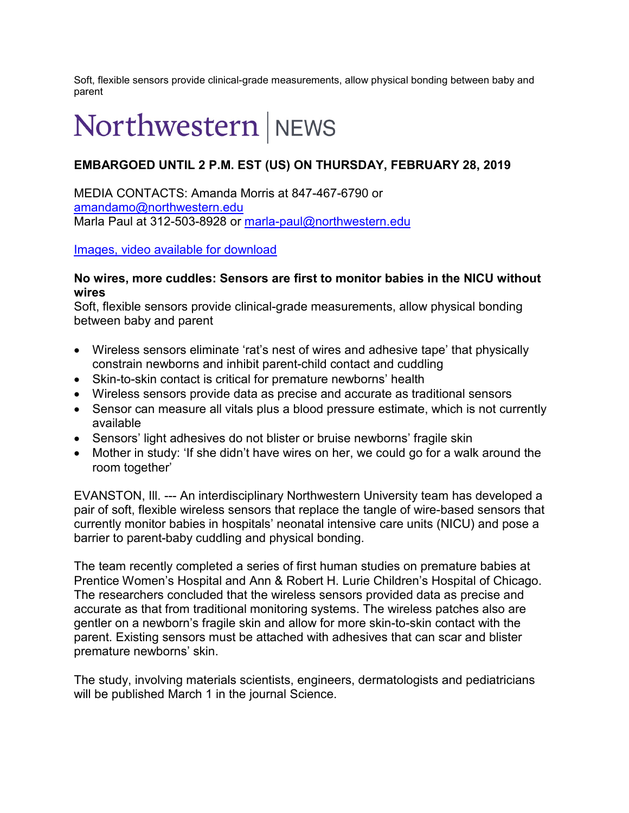Soft, flexible sensors provide clinical-grade measurements, allow physical bonding between baby and parent

# Northwestern | NEWS

# **EMBARGOED UNTIL 2 P.M. EST (US) ON THURSDAY, FEBRUARY 28, 2019**

MEDIA CONTACTS: Amanda Morris at 847-467-6790 or [amandamo@northwestern.edu](mailto:amandamo@northwestern.edu) Marla Paul at 312-503-8928 or [marla-paul@northwestern.edu](mailto:marla-paul@northwestern.edu)

[Images, video available for download](https://news.northwestern.edu/for-journalists/press-kits/john-rogers/nicu)

#### **No wires, more cuddles: Sensors are first to monitor babies in the NICU without wires**

Soft, flexible sensors provide clinical-grade measurements, allow physical bonding between baby and parent

- Wireless sensors eliminate 'rat's nest of wires and adhesive tape' that physically constrain newborns and inhibit parent-child contact and cuddling
- Skin-to-skin contact is critical for premature newborns' health
- Wireless sensors provide data as precise and accurate as traditional sensors
- Sensor can measure all vitals plus a blood pressure estimate, which is not currently available
- Sensors' light adhesives do not blister or bruise newborns' fragile skin
- Mother in study: 'If she didn't have wires on her, we could go for a walk around the room together'

EVANSTON, Ill. --- An interdisciplinary Northwestern University team has developed a pair of soft, flexible wireless sensors that replace the tangle of wire-based sensors that currently monitor babies in hospitals' neonatal intensive care units (NICU) and pose a barrier to parent-baby cuddling and physical bonding.

The team recently completed a series of first human studies on premature babies at Prentice Women's Hospital and Ann & Robert H. Lurie Children's Hospital of Chicago. The researchers concluded that the wireless sensors provided data as precise and accurate as that from traditional monitoring systems. The wireless patches also are gentler on a newborn's fragile skin and allow for more skin-to-skin contact with the parent. Existing sensors must be attached with adhesives that can scar and blister premature newborns' skin.

The study, involving materials scientists, engineers, dermatologists and pediatricians will be published March 1 in the journal Science.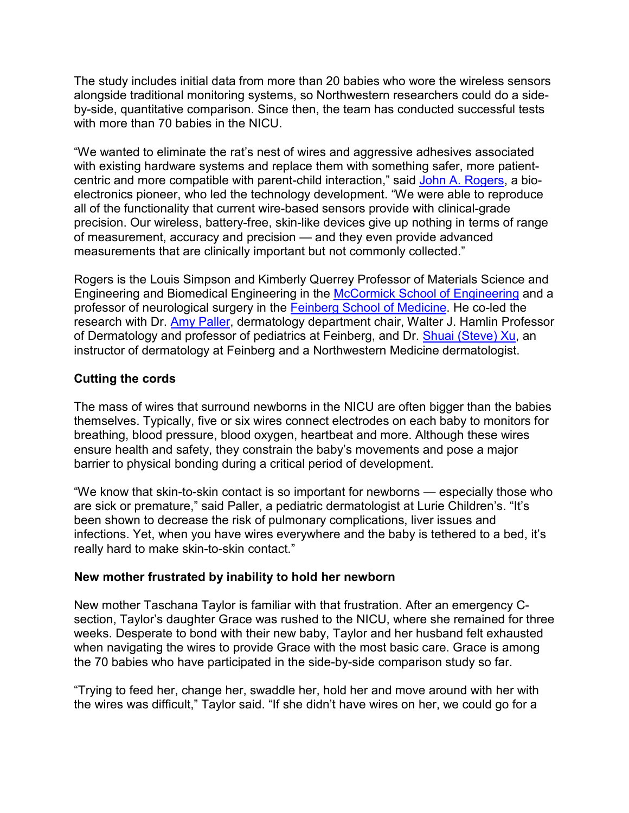The study includes initial data from more than 20 babies who wore the wireless sensors alongside traditional monitoring systems, so Northwestern researchers could do a sideby-side, quantitative comparison. Since then, the team has conducted successful tests with more than 70 babies in the NICU.

"We wanted to eliminate the rat's nest of wires and aggressive adhesives associated with existing hardware systems and replace them with something safer, more patientcentric and more compatible with parent-child interaction," said [John A. Rogers,](https://www.mccormick.northwestern.edu/research-faculty/directory/profiles/rogers-john.html) a bioelectronics pioneer, who led the technology development. "We were able to reproduce all of the functionality that current wire-based sensors provide with clinical-grade precision. Our wireless, battery-free, skin-like devices give up nothing in terms of range of measurement, accuracy and precision — and they even provide advanced measurements that are clinically important but not commonly collected."

Rogers is the Louis Simpson and Kimberly Querrey Professor of Materials Science and Engineering and Biomedical Engineering in the [McCormick School of Engineering](https://www.mccormick.northwestern.edu/) and a professor of neurological surgery in the [Feinberg School of Medicine.](https://www.feinberg.northwestern.edu/) He co-led the research with Dr. [Amy Paller,](https://www.feinberg.northwestern.edu/faculty-profiles/az/profile.html?xid=16616) dermatology department chair, Walter J. Hamlin Professor of Dermatology and professor of pediatrics at Feinberg, and Dr. [Shuai \(Steve\) Xu,](https://www.feinberg.northwestern.edu/faculty-profiles/az/profile.html?xid=39481) an instructor of dermatology at Feinberg and a Northwestern Medicine dermatologist.

## **Cutting the cords**

The mass of wires that surround newborns in the NICU are often bigger than the babies themselves. Typically, five or six wires connect electrodes on each baby to monitors for breathing, blood pressure, blood oxygen, heartbeat and more. Although these wires ensure health and safety, they constrain the baby's movements and pose a major barrier to physical bonding during a critical period of development.

"We know that skin-to-skin contact is so important for newborns — especially those who are sick or premature," said Paller, a pediatric dermatologist at Lurie Children's. "It's been shown to decrease the risk of pulmonary complications, liver issues and infections. Yet, when you have wires everywhere and the baby is tethered to a bed, it's really hard to make skin-to-skin contact."

#### **New mother frustrated by inability to hold her newborn**

New mother Taschana Taylor is familiar with that frustration. After an emergency Csection, Taylor's daughter Grace was rushed to the NICU, where she remained for three weeks. Desperate to bond with their new baby, Taylor and her husband felt exhausted when navigating the wires to provide Grace with the most basic care. Grace is among the 70 babies who have participated in the side-by-side comparison study so far.

"Trying to feed her, change her, swaddle her, hold her and move around with her with the wires was difficult," Taylor said. "If she didn't have wires on her, we could go for a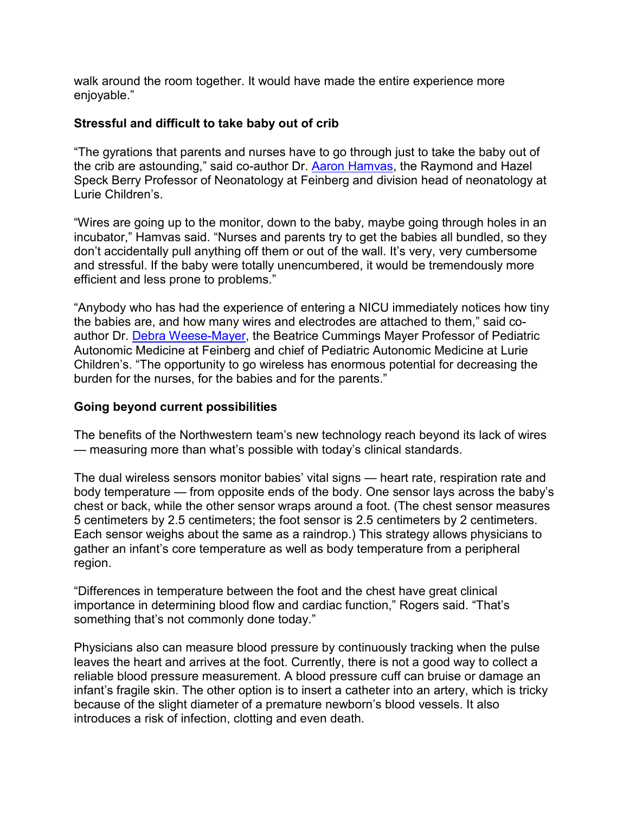walk around the room together. It would have made the entire experience more enjoyable."

### **Stressful and difficult to take baby out of crib**

"The gyrations that parents and nurses have to go through just to take the baby out of the crib are astounding," said co-author Dr. [Aaron Hamvas,](https://www.feinberg.northwestern.edu/faculty-profiles/az/profile.html?xid=29645) the Raymond and Hazel Speck Berry Professor of Neonatology at Feinberg and division head of neonatology at Lurie Children's.

"Wires are going up to the monitor, down to the baby, maybe going through holes in an incubator," Hamvas said. "Nurses and parents try to get the babies all bundled, so they don't accidentally pull anything off them or out of the wall. It's very, very cumbersome and stressful. If the baby were totally unencumbered, it would be tremendously more efficient and less prone to problems."

"Anybody who has had the experience of entering a NICU immediately notices how tiny the babies are, and how many wires and electrodes are attached to them," said coauthor Dr. [Debra Weese-Mayer,](https://www.feinberg.northwestern.edu/faculty-profiles/az/profile.html?xid=13884) the Beatrice Cummings Mayer Professor of Pediatric Autonomic Medicine at Feinberg and chief of Pediatric Autonomic Medicine at Lurie Children's. "The opportunity to go wireless has enormous potential for decreasing the burden for the nurses, for the babies and for the parents."

#### **Going beyond current possibilities**

The benefits of the Northwestern team's new technology reach beyond its lack of wires — measuring more than what's possible with today's clinical standards.

The dual wireless sensors monitor babies' vital signs — heart rate, respiration rate and body temperature — from opposite ends of the body. One sensor lays across the baby's chest or back, while the other sensor wraps around a foot. (The chest sensor measures 5 centimeters by 2.5 centimeters; the foot sensor is 2.5 centimeters by 2 centimeters. Each sensor weighs about the same as a raindrop.) This strategy allows physicians to gather an infant's core temperature as well as body temperature from a peripheral region.

"Differences in temperature between the foot and the chest have great clinical importance in determining blood flow and cardiac function," Rogers said. "That's something that's not commonly done today."

Physicians also can measure blood pressure by continuously tracking when the pulse leaves the heart and arrives at the foot. Currently, there is not a good way to collect a reliable blood pressure measurement. A blood pressure cuff can bruise or damage an infant's fragile skin. The other option is to insert a catheter into an artery, which is tricky because of the slight diameter of a premature newborn's blood vessels. It also introduces a risk of infection, clotting and even death.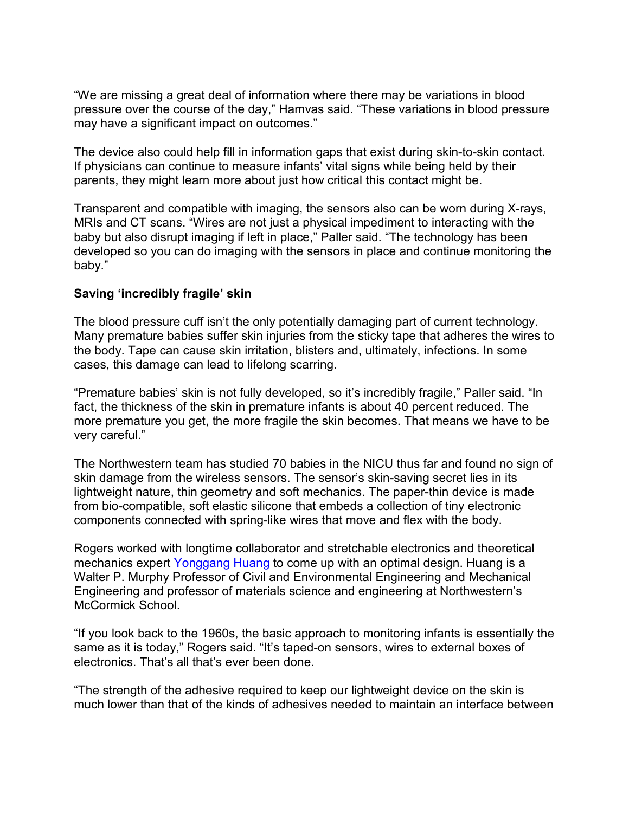"We are missing a great deal of information where there may be variations in blood pressure over the course of the day," Hamvas said. "These variations in blood pressure may have a significant impact on outcomes."

The device also could help fill in information gaps that exist during skin-to-skin contact. If physicians can continue to measure infants' vital signs while being held by their parents, they might learn more about just how critical this contact might be.

Transparent and compatible with imaging, the sensors also can be worn during X-rays, MRIs and CT scans. "Wires are not just a physical impediment to interacting with the baby but also disrupt imaging if left in place," Paller said. "The technology has been developed so you can do imaging with the sensors in place and continue monitoring the baby."

#### **Saving 'incredibly fragile' skin**

The blood pressure cuff isn't the only potentially damaging part of current technology. Many premature babies suffer skin injuries from the sticky tape that adheres the wires to the body. Tape can cause skin irritation, blisters and, ultimately, infections. In some cases, this damage can lead to lifelong scarring.

"Premature babies' skin is not fully developed, so it's incredibly fragile," Paller said. "In fact, the thickness of the skin in premature infants is about 40 percent reduced. The more premature you get, the more fragile the skin becomes. That means we have to be very careful."

The Northwestern team has studied 70 babies in the NICU thus far and found no sign of skin damage from the wireless sensors. The sensor's skin-saving secret lies in its lightweight nature, thin geometry and soft mechanics. The paper-thin device is made from bio-compatible, soft elastic silicone that embeds a collection of tiny electronic components connected with spring-like wires that move and flex with the body.

Rogers worked with longtime collaborator and stretchable electronics and theoretical mechanics expert [Yonggang Huang](https://www.mccormick.northwestern.edu/research-faculty/directory/profiles/huang-yonggang.html) to come up with an optimal design. Huang is a Walter P. Murphy Professor of Civil and Environmental Engineering and Mechanical Engineering and professor of materials science and engineering at Northwestern's McCormick School.

"If you look back to the 1960s, the basic approach to monitoring infants is essentially the same as it is today," Rogers said. "It's taped-on sensors, wires to external boxes of electronics. That's all that's ever been done.

"The strength of the adhesive required to keep our lightweight device on the skin is much lower than that of the kinds of adhesives needed to maintain an interface between